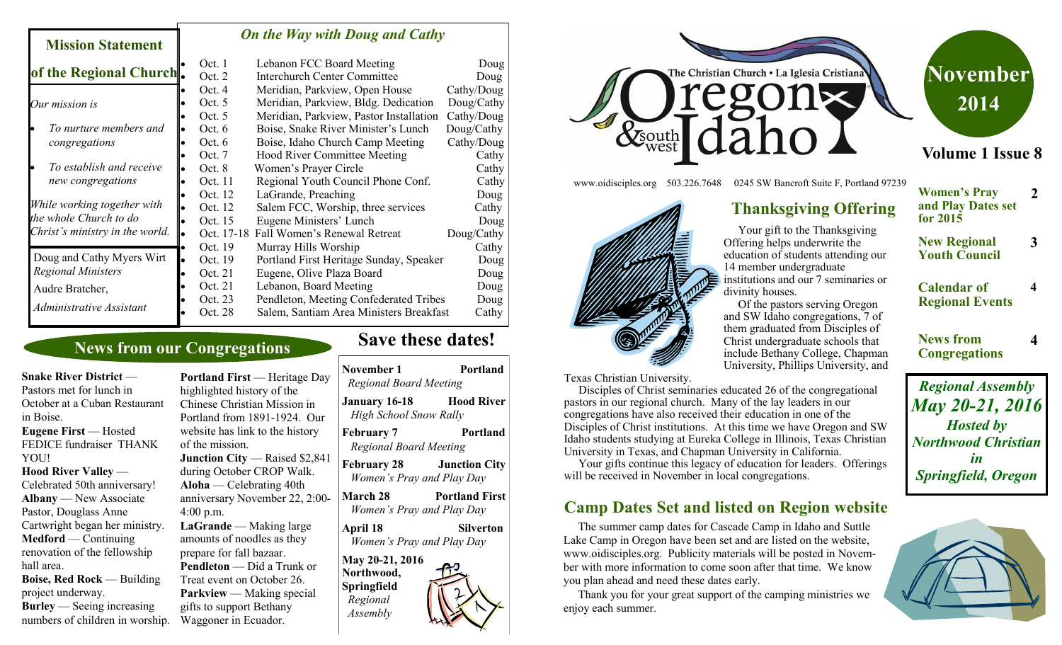#### *On the Way with Doug and Cathy*

|                                 |           | Oct. 1     | Lebanon FCC Board Meeting               | Doug       |
|---------------------------------|-----------|------------|-----------------------------------------|------------|
| of the Regional Church.         |           | Oct. $2$   | <b>Interchurch Center Committee</b>     | Doug       |
|                                 |           | Oct. $4$   | Meridian, Parkview, Open House          | Cathy/Doug |
| Our mission is                  |           | Oct. $5$   | Meridian, Parkview, Bldg. Dedication    | Doug/Cathy |
|                                 |           | Oct. $5$   | Meridian, Parkview, Pastor Installation | Cathy/Doug |
| To nurture members and          |           | Oct. $6$   | Boise, Snake River Minister's Lunch     | Doug/Cathy |
| congregations                   |           | Oct. $6$   | Boise, Idaho Church Camp Meeting        | Cathy/Doug |
|                                 |           | Oct. $7$   | <b>Hood River Committee Meeting</b>     | Cathy      |
| To establish and receive        |           | Oct. 8     | Women's Prayer Circle                   | Cathy      |
| new congregations               |           | Oct. 11    | Regional Youth Council Phone Conf.      | Cathy      |
|                                 |           | Oct. 12    | LaGrande, Preaching                     | Doug       |
| While working together with     |           | Oct. 12    | Salem FCC, Worship, three services      | Cathy      |
| the whole Church to do          |           | Oct. 15    | Eugene Ministers' Lunch                 | Doug       |
| Christ's ministry in the world. | le        | Oct. 17-18 | Fall Women's Renewal Retreat            | Doug/Cathy |
|                                 |           | Oct. 19    | Murray Hills Worship                    | Cathy      |
| Doug and Cathy Myers Wirt       | $\bullet$ | Oct. 19    | Portland First Heritage Sunday, Speaker | Doug       |
| <b>Regional Ministers</b>       |           | Oct. 21    | Eugene, Olive Plaza Board               | Doug       |
| Audre Bratcher,                 |           | Oct. 21    | Lebanon, Board Meeting                  | Doug       |
|                                 |           | Oct. 23    | Pendleton, Meeting Confederated Tribes  | Doug       |
| Administrative Assistant        |           | Oct. 28    | Salem, Santiam Area Ministers Breakfast | Cathy      |

# **News from our Congregations**

**Snake River District** — Pastors met for lunch in October at a Cuban Restaurant in Boise. **Eugene First** — Hosted FEDICE fundraiser THANK YOU! **Hood River Valley** — Celebrated 50th anniversary! **Albany** — New Associate Pastor, Douglass Anne Cartwright began her ministry. **Medford** — Continuing renovation of the fellowship hall area. **Boise, Red Rock** — Building project underway.

**Mission Statement** 

**Burley** — Seeing increasing numbers of children in worship.

**Portland First** — Heritage Day highlighted history of the Chinese Christian Mission in Portland from 1891-1924. Our website has link to the history of the mission. **Junction City — Raised \$2,841** during October CROP Walk. **Aloha** — Celebrating 40th anniversary November 22, 2:00- 4:00 p.m. LaGrande — Making large amounts of noodles as they prepare for fall bazaar. **Pendleton** — Did a Trunk or Treat event on October 26. **Parkview** — Making special gifts to support Bethany Waggoner in Ecuador.

# **Save these dates!**

| November 1<br><b>Regional Board Meeting</b>                          | Portland              |
|----------------------------------------------------------------------|-----------------------|
| January 16-18<br><b>High School Snow Rally</b>                       | <b>Hood River</b>     |
| February 7<br><b>Regional Board Meeting</b>                          | Portland              |
| February 28<br>Women's Pray and Play Day                             | <b>Junction City</b>  |
| March 28<br>Women's Pray and Play Day                                | <b>Portland First</b> |
| April 18<br>Women's Pray and Play Day                                | Silverton             |
| May 20-21, 2016<br>Northwood,<br>Springfield<br>Regional<br>Assembly |                       |



Your gift to the Thanksgiving Offering helps underwrite the education of students attending our

**Thanksgiving Offering**

institutions and our 7 seminaries or

 Of the pastors serving Oregon and SW Idaho congregations, 7 of them graduated from Disciples of Christ undergraduate schools that include Bethany College, Chapman University, Phillips University, and

14 member undergraduate

divinity houses.

www.oidisciples.org 503.226.7648 0245 SW Bancroft Suite F, Portland 97239



Texas Christian University.

 Disciples of Christ seminaries educated 26 of the congregational pastors in our regional church. Many of the lay leaders in our congregations have also received their education in one of the Disciples of Christ institutions. At this time we have Oregon and SW Idaho students studying at Eureka College in Illinois, Texas Christian University in Texas, and Chapman University in California.

 Your gifts continue this legacy of education for leaders. Offerings will be received in November in local congregations.

# **Camp Dates Set and listed on Region website**

 The summer camp dates for Cascade Camp in Idaho and Suttle Lake Camp in Oregon have been set and are listed on the website, www.oidisciples.org. Publicity materials will be posted in November with more information to come soon after that time. We know you plan ahead and need these dates early.

 Thank you for your great support of the camping ministries we enjoy each summer.

# **November 2014**

### **Volume 1 Issue 8**

- **Women's Pray and Play Dates set for 2015 2**
- **New Regional Youth Council**

**3**

**4**

**4**

#### **Calendar of Regional Events**

**News from Congregations**

*Regional Assembly May 20-21, 2016 Hosted by Northwood Christian in Springfield, Oregon*